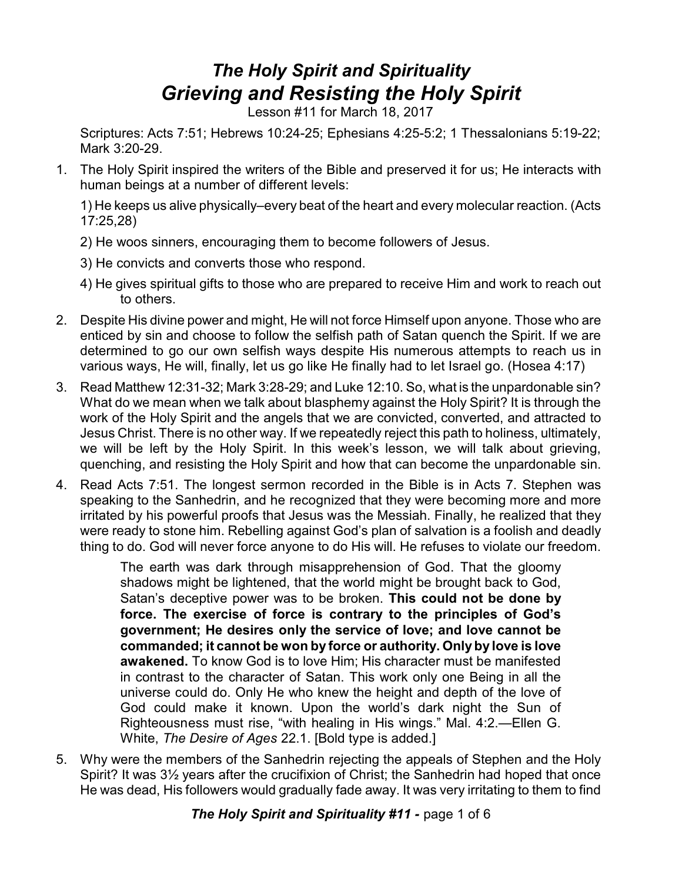## *The Holy Spirit and Spirituality Grieving and Resisting the Holy Spirit*

Lesson #11 for March 18, 2017

Scriptures: Acts 7:51; Hebrews 10:24-25; Ephesians 4:25-5:2; 1 Thessalonians 5:19-22; Mark 3:20-29.

1. The Holy Spirit inspired the writers of the Bible and preserved it for us; He interacts with human beings at a number of different levels:

1) He keeps us alive physically–every beat of the heart and every molecular reaction. (Acts 17:25,28)

- 2) He woos sinners, encouraging them to become followers of Jesus.
- 3) He convicts and converts those who respond.
- 4) He gives spiritual gifts to those who are prepared to receive Him and work to reach out to others.
- 2. Despite His divine power and might, He will not force Himself upon anyone. Those who are enticed by sin and choose to follow the selfish path of Satan quench the Spirit. If we are determined to go our own selfish ways despite His numerous attempts to reach us in various ways, He will, finally, let us go like He finally had to let Israel go. (Hosea 4:17)
- 3. Read Matthew 12:31-32; Mark 3:28-29; and Luke 12:10. So, what is the unpardonable sin? What do we mean when we talk about blasphemy against the Holy Spirit? It is through the work of the Holy Spirit and the angels that we are convicted, converted, and attracted to Jesus Christ. There is no other way. If we repeatedly reject this path to holiness, ultimately, we will be left by the Holy Spirit. In this week's lesson, we will talk about grieving, quenching, and resisting the Holy Spirit and how that can become the unpardonable sin.
- 4. Read Acts 7:51. The longest sermon recorded in the Bible is in Acts 7. Stephen was speaking to the Sanhedrin, and he recognized that they were becoming more and more irritated by his powerful proofs that Jesus was the Messiah. Finally, he realized that they were ready to stone him. Rebelling against God's plan of salvation is a foolish and deadly thing to do. God will never force anyone to do His will. He refuses to violate our freedom.

The earth was dark through misapprehension of God. That the gloomy shadows might be lightened, that the world might be brought back to God, Satan's deceptive power was to be broken. **This could not be done by force. The exercise of force is contrary to the principles of God's government; He desires only the service of love; and love cannot be commanded; it cannot be won by force or authority. Only by love is love awakened.** To know God is to love Him; His character must be manifested in contrast to the character of Satan. This work only one Being in all the universe could do. Only He who knew the height and depth of the love of God could make it known. Upon the world's dark night the Sun of Righteousness must rise, "with healing in His wings." Mal. 4:2.—Ellen G. White, *The Desire of Ages* 22.1. [Bold type is added.]

5. Why were the members of the Sanhedrin rejecting the appeals of Stephen and the Holy Spirit? It was 3½ years after the crucifixion of Christ; the Sanhedrin had hoped that once He was dead, His followers would gradually fade away. It was very irritating to them to find

*The Holy Spirit and Spirituality #11 -* page 1 of 6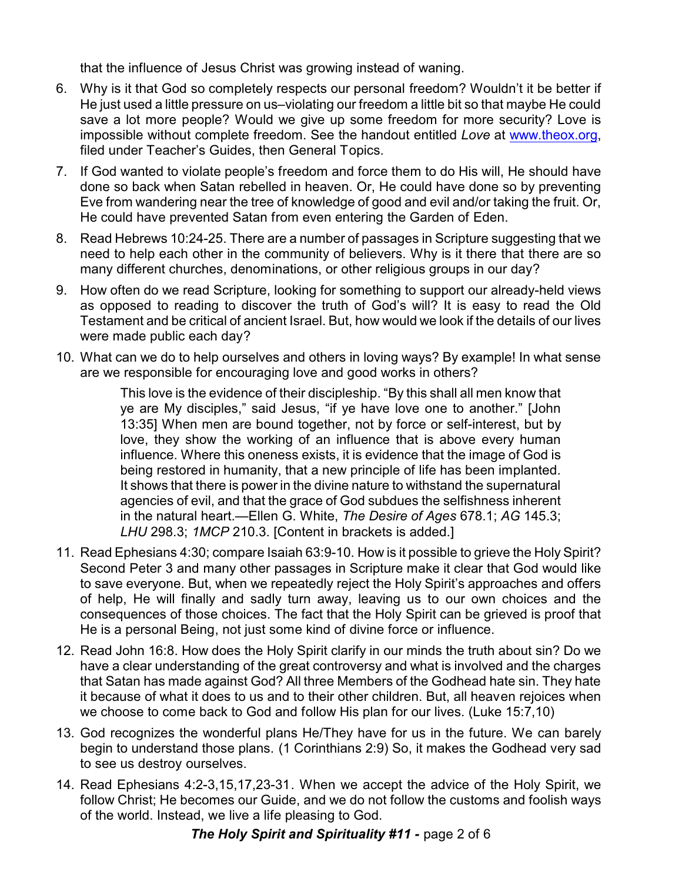that the influence of Jesus Christ was growing instead of waning.

- 6. Why is it that God so completely respects our personal freedom? Wouldn't it be better if He just used a little pressure on us–violating our freedom a little bit so that maybe He could save a lot more people? Would we give up some freedom for more security? Love is impossible without complete freedom. See the handout entitled *Love* at [www.theox.org](http://www.theox.org), filed under Teacher's Guides, then General Topics.
- 7. If God wanted to violate people's freedom and force them to do His will, He should have done so back when Satan rebelled in heaven. Or, He could have done so by preventing Eve from wandering near the tree of knowledge of good and evil and/or taking the fruit. Or, He could have prevented Satan from even entering the Garden of Eden.
- 8. Read Hebrews 10:24-25. There are a number of passages in Scripture suggesting that we need to help each other in the community of believers. Why is it there that there are so many different churches, denominations, or other religious groups in our day?
- 9. How often do we read Scripture, looking for something to support our already-held views as opposed to reading to discover the truth of God's will? It is easy to read the Old Testament and be critical of ancient Israel. But, how would we look if the details of our lives were made public each day?
- 10. What can we do to help ourselves and others in loving ways? By example! In what sense are we responsible for encouraging love and good works in others?

This love is the evidence of their discipleship. "By this shall all men know that ye are My disciples," said Jesus, "if ye have love one to another." [John 13:35] When men are bound together, not by force or self-interest, but by love, they show the working of an influence that is above every human influence. Where this oneness exists, it is evidence that the image of God is being restored in humanity, that a new principle of life has been implanted. It shows that there is power in the divine nature to withstand the supernatural agencies of evil, and that the grace of God subdues the selfishness inherent in the natural heart.—Ellen G. White, *The Desire of Ages* 678.1; *AG* 145.3; *LHU* 298.3; *1MCP* 210.3. [Content in brackets is added.]

- 11. Read Ephesians 4:30; compare Isaiah 63:9-10. How is it possible to grieve the Holy Spirit? Second Peter 3 and many other passages in Scripture make it clear that God would like to save everyone. But, when we repeatedly reject the Holy Spirit's approaches and offers of help, He will finally and sadly turn away, leaving us to our own choices and the consequences of those choices. The fact that the Holy Spirit can be grieved is proof that He is a personal Being, not just some kind of divine force or influence.
- 12. Read John 16:8. How does the Holy Spirit clarify in our minds the truth about sin? Do we have a clear understanding of the great controversy and what is involved and the charges that Satan has made against God? All three Members of the Godhead hate sin. They hate it because of what it does to us and to their other children. But, all heaven rejoices when we choose to come back to God and follow His plan for our lives. (Luke 15:7,10)
- 13. God recognizes the wonderful plans He/They have for us in the future. We can barely begin to understand those plans. (1 Corinthians 2:9) So, it makes the Godhead very sad to see us destroy ourselves.
- 14. Read Ephesians 4:2-3,15,17,23-31. When we accept the advice of the Holy Spirit, we follow Christ; He becomes our Guide, and we do not follow the customs and foolish ways of the world. Instead, we live a life pleasing to God.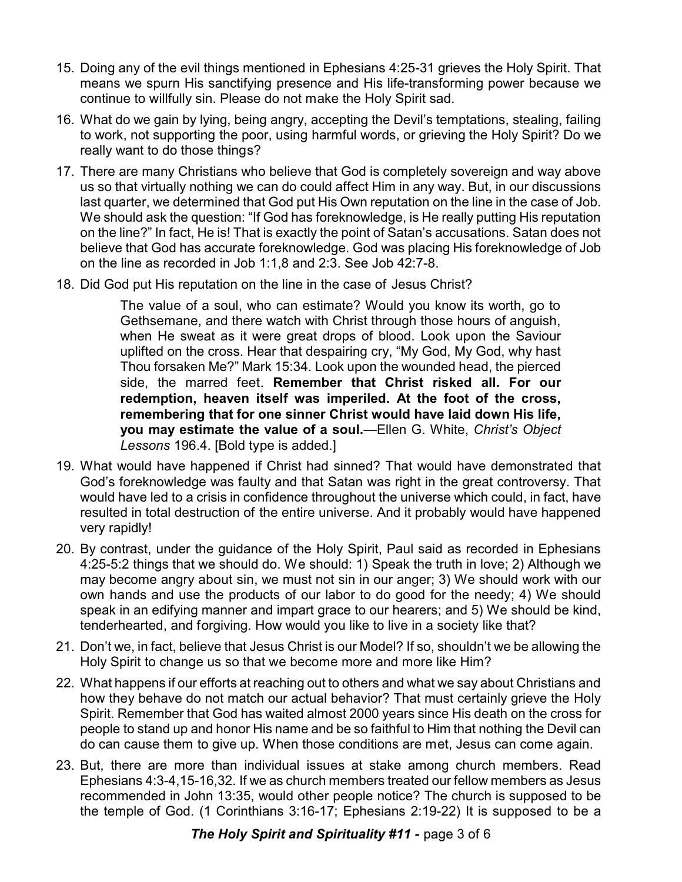- 15. Doing any of the evil things mentioned in Ephesians 4:25-31 grieves the Holy Spirit. That means we spurn His sanctifying presence and His life-transforming power because we continue to willfully sin. Please do not make the Holy Spirit sad.
- 16. What do we gain by lying, being angry, accepting the Devil's temptations, stealing, failing to work, not supporting the poor, using harmful words, or grieving the Holy Spirit? Do we really want to do those things?
- 17. There are many Christians who believe that God is completely sovereign and way above us so that virtually nothing we can do could affect Him in any way. But, in our discussions last quarter, we determined that God put His Own reputation on the line in the case of Job. We should ask the question: "If God has foreknowledge, is He really putting His reputation on the line?" In fact, He is! That is exactly the point of Satan's accusations. Satan does not believe that God has accurate foreknowledge. God was placing His foreknowledge of Job on the line as recorded in Job 1:1,8 and 2:3. See Job 42:7-8.
- 18. Did God put His reputation on the line in the case of Jesus Christ?

The value of a soul, who can estimate? Would you know its worth, go to Gethsemane, and there watch with Christ through those hours of anguish, when He sweat as it were great drops of blood. Look upon the Saviour uplifted on the cross. Hear that despairing cry, "My God, My God, why hast Thou forsaken Me?" Mark 15:34. Look upon the wounded head, the pierced side, the marred feet. **Remember that Christ risked all. For our redemption, heaven itself was imperiled. At the foot of the cross, remembering that for one sinner Christ would have laid down His life, you may estimate the value of a soul.**—Ellen G. White, *Christ's Object Lessons* 196.4. [Bold type is added.]

- 19. What would have happened if Christ had sinned? That would have demonstrated that God's foreknowledge was faulty and that Satan was right in the great controversy. That would have led to a crisis in confidence throughout the universe which could, in fact, have resulted in total destruction of the entire universe. And it probably would have happened very rapidly!
- 20. By contrast, under the guidance of the Holy Spirit, Paul said as recorded in Ephesians 4:25-5:2 things that we should do. We should: 1) Speak the truth in love; 2) Although we may become angry about sin, we must not sin in our anger; 3) We should work with our own hands and use the products of our labor to do good for the needy; 4) We should speak in an edifying manner and impart grace to our hearers; and 5) We should be kind, tenderhearted, and forgiving. How would you like to live in a society like that?
- 21. Don't we, in fact, believe that Jesus Christ is our Model? If so, shouldn't we be allowing the Holy Spirit to change us so that we become more and more like Him?
- 22. What happens if our efforts at reaching out to others and what we say about Christians and how they behave do not match our actual behavior? That must certainly grieve the Holy Spirit. Remember that God has waited almost 2000 years since His death on the cross for people to stand up and honor His name and be so faithful to Him that nothing the Devil can do can cause them to give up. When those conditions are met, Jesus can come again.
- 23. But, there are more than individual issues at stake among church members. Read Ephesians 4:3-4,15-16,32. If we as church members treated our fellow members as Jesus recommended in John 13:35, would other people notice? The church is supposed to be the temple of God. (1 Corinthians 3:16-17; Ephesians 2:19-22) It is supposed to be a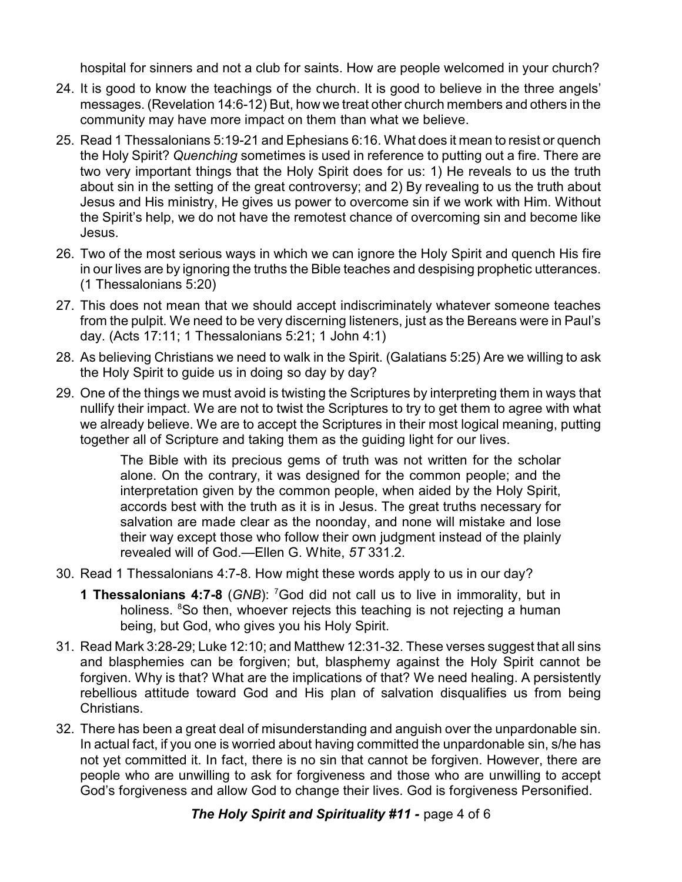hospital for sinners and not a club for saints. How are people welcomed in your church?

- 24. It is good to know the teachings of the church. It is good to believe in the three angels' messages. (Revelation 14:6-12) But, how we treat other church members and others in the community may have more impact on them than what we believe.
- 25. Read 1 Thessalonians 5:19-21 and Ephesians 6:16. What does it mean to resist or quench the Holy Spirit? *Quenching* sometimes is used in reference to putting out a fire. There are two very important things that the Holy Spirit does for us: 1) He reveals to us the truth about sin in the setting of the great controversy; and 2) By revealing to us the truth about Jesus and His ministry, He gives us power to overcome sin if we work with Him. Without the Spirit's help, we do not have the remotest chance of overcoming sin and become like Jesus.
- 26. Two of the most serious ways in which we can ignore the Holy Spirit and quench His fire in our lives are by ignoring the truths the Bible teaches and despising prophetic utterances. (1 Thessalonians 5:20)
- 27. This does not mean that we should accept indiscriminately whatever someone teaches from the pulpit. We need to be very discerning listeners, just as the Bereans were in Paul's day. (Acts 17:11; 1 Thessalonians 5:21; 1 John 4:1)
- 28. As believing Christians we need to walk in the Spirit. (Galatians 5:25) Are we willing to ask the Holy Spirit to guide us in doing so day by day?
- 29. One of the things we must avoid is twisting the Scriptures by interpreting them in ways that nullify their impact. We are not to twist the Scriptures to try to get them to agree with what we already believe. We are to accept the Scriptures in their most logical meaning, putting together all of Scripture and taking them as the guiding light for our lives.

The Bible with its precious gems of truth was not written for the scholar alone. On the contrary, it was designed for the common people; and the interpretation given by the common people, when aided by the Holy Spirit, accords best with the truth as it is in Jesus. The great truths necessary for salvation are made clear as the noonday, and none will mistake and lose their way except those who follow their own judgment instead of the plainly revealed will of God.—Ellen G. White, *5T* 331.2.

- 30. Read 1 Thessalonians 4:7-8. How might these words apply to us in our day?
	- **1 Thessalonians 4:7-8** (*GNB*): <sup>7</sup>God did not call us to live in immorality, but in holiness. <sup>8</sup>So then, whoever rejects this teaching is not rejecting a human being, but God, who gives you his Holy Spirit.
- 31. Read Mark 3:28-29; Luke 12:10; and Matthew 12:31-32. These verses suggest that all sins and blasphemies can be forgiven; but, blasphemy against the Holy Spirit cannot be forgiven. Why is that? What are the implications of that? We need healing. A persistently rebellious attitude toward God and His plan of salvation disqualifies us from being Christians.
- 32. There has been a great deal of misunderstanding and anguish over the unpardonable sin. In actual fact, if you one is worried about having committed the unpardonable sin, s/he has not yet committed it. In fact, there is no sin that cannot be forgiven. However, there are people who are unwilling to ask for forgiveness and those who are unwilling to accept God's forgiveness and allow God to change their lives. God is forgiveness Personified.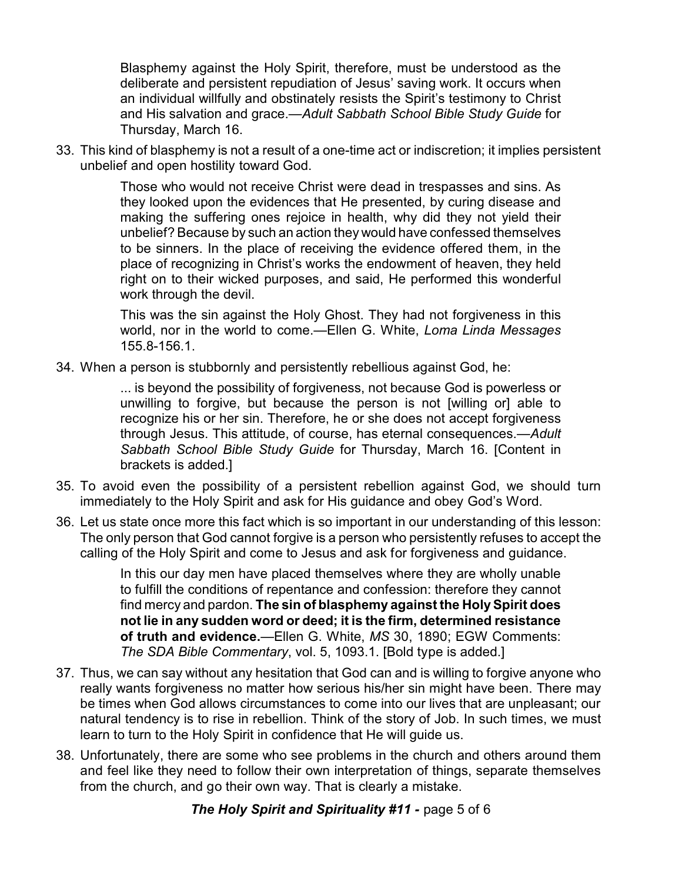Blasphemy against the Holy Spirit, therefore, must be understood as the deliberate and persistent repudiation of Jesus' saving work. It occurs when an individual willfully and obstinately resists the Spirit's testimony to Christ and His salvation and grace.—*Adult Sabbath School Bible Study Guide* for Thursday, March 16.

33. This kind of blasphemy is not a result of a one-time act or indiscretion; it implies persistent unbelief and open hostility toward God.

> Those who would not receive Christ were dead in trespasses and sins. As they looked upon the evidences that He presented, by curing disease and making the suffering ones rejoice in health, why did they not yield their unbelief? Because by such an action they would have confessed themselves to be sinners. In the place of receiving the evidence offered them, in the place of recognizing in Christ's works the endowment of heaven, they held right on to their wicked purposes, and said, He performed this wonderful work through the devil.

> This was the sin against the Holy Ghost. They had not forgiveness in this world, nor in the world to come.—Ellen G. White, *Loma Linda Messages* 155.8-156.1.

34. When a person is stubbornly and persistently rebellious against God, he:

... is beyond the possibility of forgiveness, not because God is powerless or unwilling to forgive, but because the person is not [willing or] able to recognize his or her sin. Therefore, he or she does not accept forgiveness through Jesus. This attitude, of course, has eternal consequences.—*Adult Sabbath School Bible Study Guide* for Thursday, March 16. [Content in brackets is added.]

- 35. To avoid even the possibility of a persistent rebellion against God, we should turn immediately to the Holy Spirit and ask for His guidance and obey God's Word.
- 36. Let us state once more this fact which is so important in our understanding of this lesson: The only person that God cannot forgive is a person who persistently refuses to accept the calling of the Holy Spirit and come to Jesus and ask for forgiveness and guidance.

In this our day men have placed themselves where they are wholly unable to fulfill the conditions of repentance and confession: therefore they cannot find mercy and pardon. **The sin of blasphemy against the HolySpirit does not lie in any sudden word or deed; it is the firm, determined resistance of truth and evidence.**—Ellen G. White, *MS* 30, 1890; EGW Comments: *The SDA Bible Commentary*, vol. 5, 1093.1. [Bold type is added.]

- 37. Thus, we can say without any hesitation that God can and is willing to forgive anyone who really wants forgiveness no matter how serious his/her sin might have been. There may be times when God allows circumstances to come into our lives that are unpleasant; our natural tendency is to rise in rebellion. Think of the story of Job. In such times, we must learn to turn to the Holy Spirit in confidence that He will guide us.
- 38. Unfortunately, there are some who see problems in the church and others around them and feel like they need to follow their own interpretation of things, separate themselves from the church, and go their own way. That is clearly a mistake.

*The Holy Spirit and Spirituality #11 -* page 5 of 6